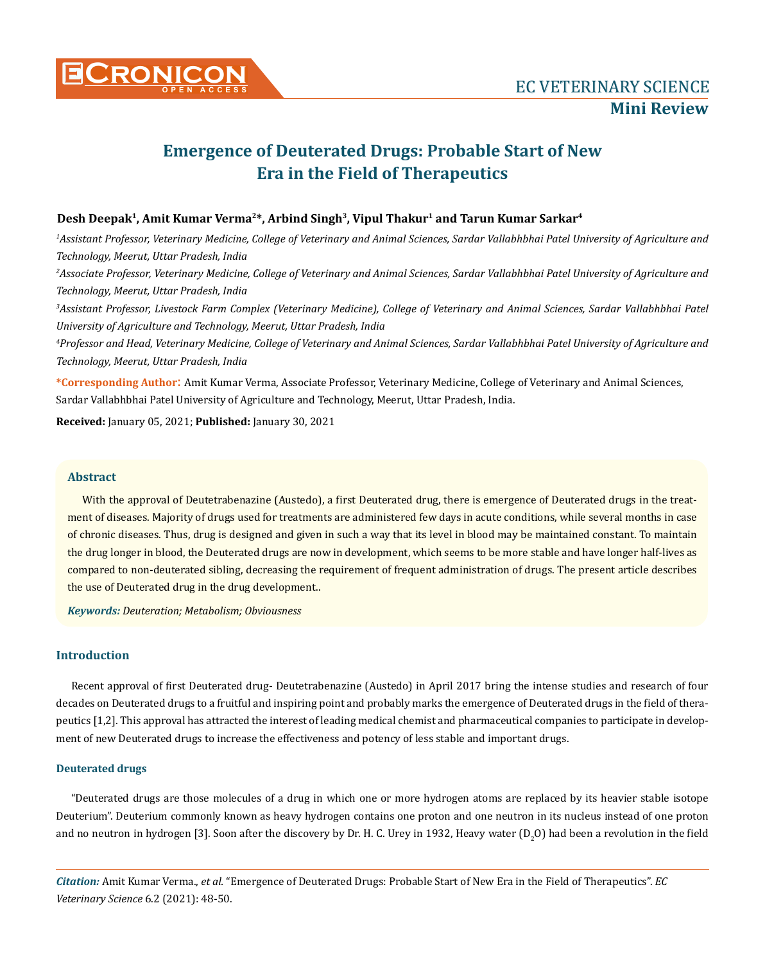

# **Emergence of Deuterated Drugs: Probable Start of New Era in the Field of Therapeutics**

### Desh Deepak<sup>1</sup>, Amit Kumar Verma<sup>2\*</sup>, Arbind Singh<sup>3</sup>, Vipul Thakur<sup>1</sup> and Tarun Kumar Sarkar<sup>4</sup>

*1 Assistant Professor, Veterinary Medicine, College of Veterinary and Animal Sciences, Sardar Vallabhbhai Patel University of Agriculture and Technology, Meerut, Uttar Pradesh, India*

*2 Associate Professor, Veterinary Medicine, College of Veterinary and Animal Sciences, Sardar Vallabhbhai Patel University of Agriculture and Technology, Meerut, Uttar Pradesh, India*

*3 Assistant Professor, Livestock Farm Complex (Veterinary Medicine), College of Veterinary and Animal Sciences, Sardar Vallabhbhai Patel University of Agriculture and Technology, Meerut, Uttar Pradesh, India*

*4 Professor and Head, Veterinary Medicine, College of Veterinary and Animal Sciences, Sardar Vallabhbhai Patel University of Agriculture and Technology, Meerut, Uttar Pradesh, India*

**\*Corresponding Author**: Amit Kumar Verma, Associate Professor, Veterinary Medicine, College of Veterinary and Animal Sciences, Sardar Vallabhbhai Patel University of Agriculture and Technology, Meerut, Uttar Pradesh, India.

**Received:** January 05, 2021; **Published:** January 30, 2021

#### **Abstract**

With the approval of Deutetrabenazine (Austedo), a first Deuterated drug, there is emergence of Deuterated drugs in the treatment of diseases. Majority of drugs used for treatments are administered few days in acute conditions, while several months in case of chronic diseases. Thus, drug is designed and given in such a way that its level in blood may be maintained constant. To maintain the drug longer in blood, the Deuterated drugs are now in development, which seems to be more stable and have longer half-lives as compared to non-deuterated sibling, decreasing the requirement of frequent administration of drugs. The present article describes the use of Deuterated drug in the drug development..

*Keywords: Deuteration; Metabolism; Obviousness*

## **Introduction**

Recent approval of first Deuterated drug- Deutetrabenazine (Austedo) in April 2017 bring the intense studies and research of four decades on Deuterated drugs to a fruitful and inspiring point and probably marks the emergence of Deuterated drugs in the field of therapeutics [1,2]. This approval has attracted the interest of leading medical chemist and pharmaceutical companies to participate in development of new Deuterated drugs to increase the effectiveness and potency of less stable and important drugs.

#### **Deuterated drugs**

"Deuterated drugs are those molecules of a drug in which one or more hydrogen atoms are replaced by its heavier stable isotope Deuterium". Deuterium commonly known as heavy hydrogen contains one proton and one neutron in its nucleus instead of one proton and no neutron in hydrogen [3]. Soon after the discovery by Dr. H. C. Urey in 1932, Heavy water (D<sub>2</sub>O) had been a revolution in the field

*Citation:* Amit Kumar Verma., *et al.* "Emergence of Deuterated Drugs: Probable Start of New Era in the Field of Therapeutics". *EC Veterinary Science* 6.2 (2021): 48-50.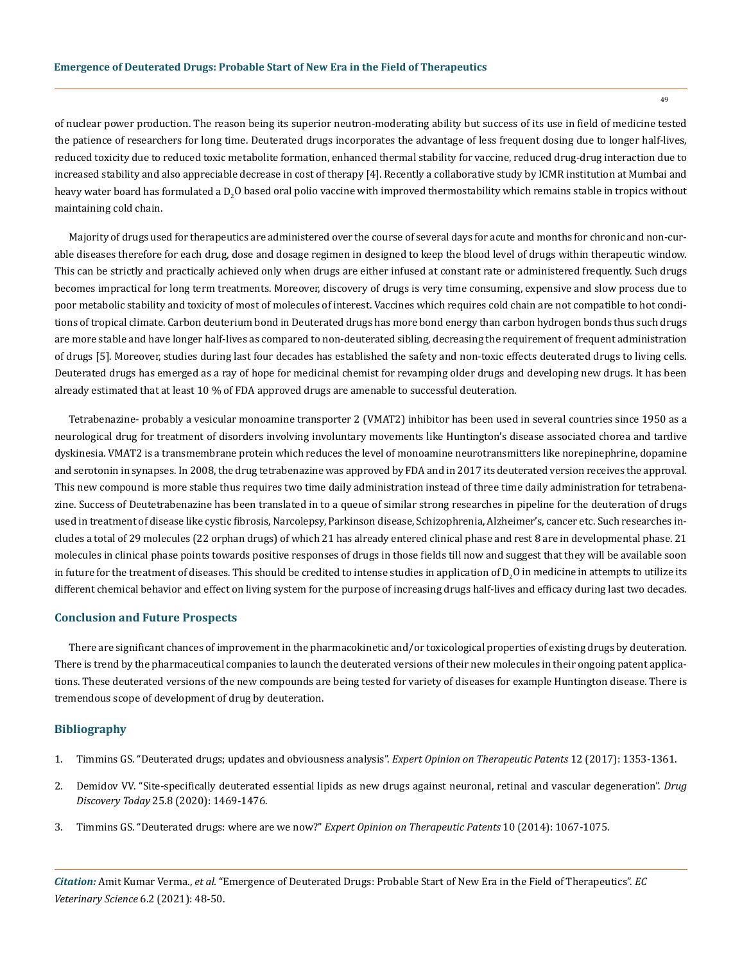of nuclear power production. The reason being its superior neutron-moderating ability but success of its use in field of medicine tested the patience of researchers for long time. Deuterated drugs incorporates the advantage of less frequent dosing due to longer half-lives, reduced toxicity due to reduced toxic metabolite formation, enhanced thermal stability for vaccine, reduced drug-drug interaction due to increased stability and also appreciable decrease in cost of therapy [4]. Recently a collaborative study by ICMR institution at Mumbai and heavy water board has formulated a  $D_2O$  based oral polio vaccine with improved thermostability which remains stable in tropics without maintaining cold chain.

Majority of drugs used for therapeutics are administered over the course of several days for acute and months for chronic and non-curable diseases therefore for each drug, dose and dosage regimen in designed to keep the blood level of drugs within therapeutic window. This can be strictly and practically achieved only when drugs are either infused at constant rate or administered frequently. Such drugs becomes impractical for long term treatments. Moreover, discovery of drugs is very time consuming, expensive and slow process due to poor metabolic stability and toxicity of most of molecules of interest. Vaccines which requires cold chain are not compatible to hot conditions of tropical climate. Carbon deuterium bond in Deuterated drugs has more bond energy than carbon hydrogen bonds thus such drugs are more stable and have longer half-lives as compared to non-deuterated sibling, decreasing the requirement of frequent administration of drugs [5]. Moreover, studies during last four decades has established the safety and non-toxic effects deuterated drugs to living cells. Deuterated drugs has emerged as a ray of hope for medicinal chemist for revamping older drugs and developing new drugs. It has been already estimated that at least 10 % of FDA approved drugs are amenable to successful deuteration.

Tetrabenazine- probably a vesicular monoamine transporter 2 (VMAT2) inhibitor has been used in several countries since 1950 as a neurological drug for treatment of disorders involving involuntary movements like Huntington's disease associated chorea and tardive dyskinesia. VMAT2 is a transmembrane protein which reduces the level of monoamine neurotransmitters like norepinephrine, dopamine and serotonin in synapses. In 2008, the drug tetrabenazine was approved by FDA and in 2017 its deuterated version receives the approval. This new compound is more stable thus requires two time daily administration instead of three time daily administration for tetrabenazine. Success of Deutetrabenazine has been translated in to a queue of similar strong researches in pipeline for the deuteration of drugs used in treatment of disease like cystic fibrosis, Narcolepsy, Parkinson disease, Schizophrenia, Alzheimer's, cancer etc. Such researches includes a total of 29 molecules (22 orphan drugs) of which 21 has already entered clinical phase and rest 8 are in developmental phase. 21 molecules in clinical phase points towards positive responses of drugs in those fields till now and suggest that they will be available soon in future for the treatment of diseases. This should be credited to intense studies in application of  $\mathrm{D}_2\mathrm{O}$  in medicine in attempts to utilize its different chemical behavior and effect on living system for the purpose of increasing drugs half-lives and efficacy during last two decades.

#### **Conclusion and Future Prospects**

There are significant chances of improvement in the pharmacokinetic and/or toxicological properties of existing drugs by deuteration. There is trend by the pharmaceutical companies to launch the deuterated versions of their new molecules in their ongoing patent applications. These deuterated versions of the new compounds are being tested for variety of diseases for example Huntington disease. There is tremendous scope of development of drug by deuteration.

#### **Bibliography**

- 1. [Timmins GS. "Deuterated drugs; updates and obviousness analysis".](https://www.tandfonline.com/doi/abs/10.1080/13543776.2017.1378350?journalCode=ietp20) *Expert Opinion on Therapeutic Patents* 12 (2017): 1353-1361.
- 2. [Demidov VV. "Site-specifically deuterated essential lipids as new drugs against neuronal, retinal and vascular degeneration".](https://pubmed.ncbi.nlm.nih.gov/32247036/) *Drug Discovery Today* [25.8 \(2020\): 1469-1476.](https://pubmed.ncbi.nlm.nih.gov/32247036/)
- 3. [Timmins GS. "Deuterated drugs: where are we now?"](https://www.ncbi.nlm.nih.gov/pmc/articles/PMC4579527/) *Expert Opinion on Therapeutic Patents* 10 (2014): 1067-1075.

*Citation:* Amit Kumar Verma., *et al.* "Emergence of Deuterated Drugs: Probable Start of New Era in the Field of Therapeutics". *EC Veterinary Science* 6.2 (2021): 48-50.

49